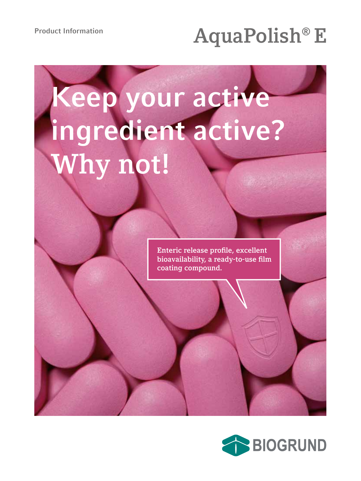## Product Information<br>**AquaPolish® E**

# **Keep your active ingredient active? Why not!**

**Enteric release profile, excellent bioavailability, a ready-to-use film coating compound.**